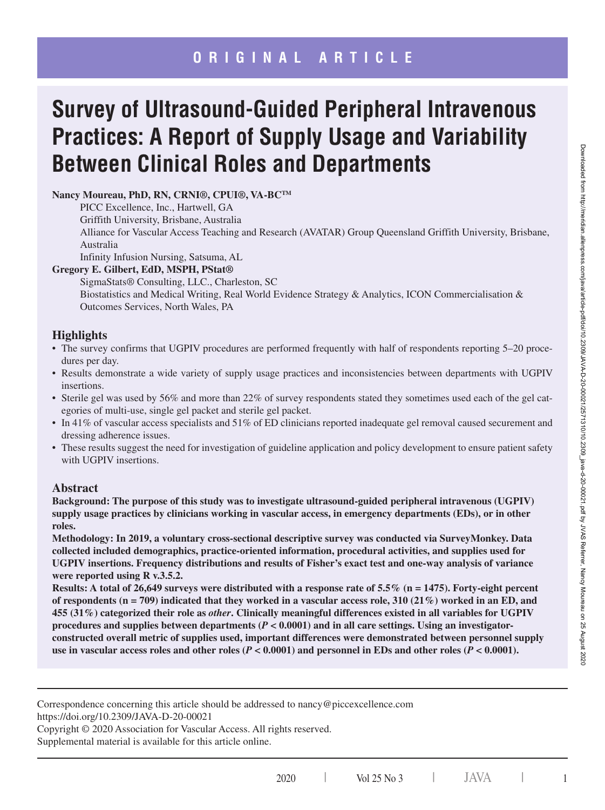# **Survey of Ultrasound-Guided Peripheral Intravenous Practices: A Report of Supply Usage and Variability Between Clinical Roles and Departments**

**Nancy Moureau, PhD, RN, CRNI®, CPUI®, VA-BCTM**

PICC Excellence, Inc., Hartwell, GA Griffith University, Brisbane, Australia Alliance for Vascular Access Teaching and Research (AVATAR) Group Queensland Griffith University, Brisbane, Australia

Infinity Infusion Nursing, Satsuma, AL

# **Gregory E. Gilbert, EdD, MSPH, PStat®**

SigmaStats® Consulting, LLC., Charleston, SC Biostatistics and Medical Writing, Real World Evidence Strategy & Analytics, ICON Commercialisation & Outcomes Services, North Wales, PA

# **Highlights**

- The survey confirms that UGPIV procedures are performed frequently with half of respondents reporting 5–20 procedures per day.
- Results demonstrate a wide variety of supply usage practices and inconsistencies between departments with UGPIV insertions.
- Sterile gel was used by 56% and more than 22% of survey respondents stated they sometimes used each of the gel categories of multi-use, single gel packet and sterile gel packet.
- In 41% of vascular access specialists and 51% of ED clinicians reported inadequate gel removal caused securement and dressing adherence issues.
- These results suggest the need for investigation of guideline application and policy development to ensure patient safety with UGPIV insertions.

# **Abstract**

**Background: The purpose of this study was to investigate ultrasound-guided peripheral intravenous (UGPIV) supply usage practices by clinicians working in vascular access, in emergency departments (EDs), or in other roles.**

**Methodology: In 2019, a voluntary cross-sectional descriptive survey was conducted via SurveyMonkey. Data collected included demographics, practice-oriented information, procedural activities, and supplies used for UGPIV insertions. Frequency distributions and results of Fisher's exact test and one-way analysis of variance were reported using R v.3.5.2.**

**Results: A total of 26,649 surveys were distributed with a response rate of 5.5% (n = 1475). Forty-eight percent of respondents (n = 709) indicated that they worked in a vascular access role, 310 (21%) worked in an ED, and 455 (31%) categorized their role as** *other***. Clinically meaningful differences existed in all variables for UGPIV procedures and supplies between departments (***P* **< 0.0001) and in all care settings. Using an investigatorconstructed overall metric of supplies used, important differences were demonstrated between personnel supply**  use in vascular access roles and other roles  $(P < 0.0001)$  and personnel in EDs and other roles  $(P < 0.0001)$ .

Correspondence concerning this article should be addressed to nancy@piccexcellence.com https://doi.org/10.2309/JAVA-D-20-00021

Copyright © 2020 Association for Vascular Access. All rights reserved. Supplemental material is available for this article online.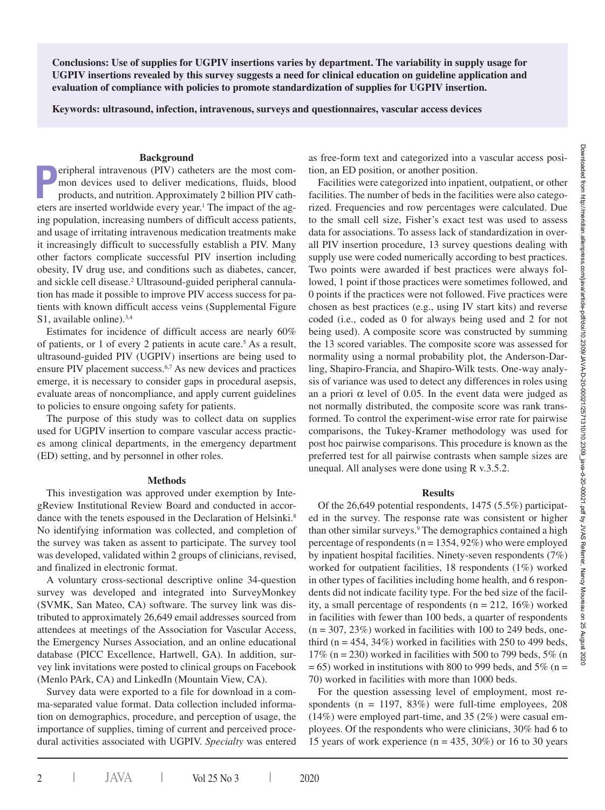**Conclusions: Use of supplies for UGPIV insertions varies by department. The variability in supply usage for UGPIV insertions revealed by this survey suggests a need for clinical education on guideline application and evaluation of compliance with policies to promote standardization of supplies for UGPIV insertion.**

**Keywords: ultrasound, infection, intravenous, surveys and questionnaires, vascular access devices**

# **Background**

**P** eripheral intravenous (PIV) catheters are the most common devices used to deliver medications, fluids, blood products, and nutrition. Approximately 2 billion PIV catheters are inserted worldwide every year.<sup>1</sup> The impact of the aging population, increasing numbers of difficult access patients, and usage of irritating intravenous medication treatments make it increasingly difficult to successfully establish a PIV. Many other factors complicate successful PIV insertion including obesity, IV drug use, and conditions such as diabetes, cancer, and sickle cell disease.<sup>2</sup> Ultrasound-guided peripheral cannulation has made it possible to improve PIV access success for patients with known difficult access veins (Supplemental Figure S1, available online). $3,4$ 

Estimates for incidence of difficult access are nearly 60% of patients, or 1 of every 2 patients in acute care.<sup>5</sup> As a result, ultrasound-guided PIV (UGPIV) insertions are being used to ensure PIV placement success.6,7 As new devices and practices emerge, it is necessary to consider gaps in procedural asepsis, evaluate areas of noncompliance, and apply current guidelines to policies to ensure ongoing safety for patients.

The purpose of this study was to collect data on supplies used for UGPIV insertion to compare vascular access practices among clinical departments, in the emergency department (ED) setting, and by personnel in other roles.

#### **Methods**

This investigation was approved under exemption by IntegReview Institutional Review Board and conducted in accordance with the tenets espoused in the Declaration of Helsinki.<sup>8</sup> No identifying information was collected, and completion of the survey was taken as assent to participate. The survey tool was developed, validated within 2 groups of clinicians, revised, and finalized in electronic format.

A voluntary cross-sectional descriptive online 34-question survey was developed and integrated into SurveyMonkey (SVMK, San Mateo, CA) software. The survey link was distributed to approximately 26,649 email addresses sourced from attendees at meetings of the Association for Vascular Access, the Emergency Nurses Association, and an online educational database (PICC Excellence, Hartwell, GA). In addition, survey link invitations were posted to clinical groups on Facebook (Menlo PArk, CA) and LinkedIn (Mountain View, CA).

Survey data were exported to a file for download in a comma-separated value format. Data collection included information on demographics, procedure, and perception of usage, the importance of supplies, timing of current and perceived procedural activities associated with UGPIV. *Specialty* was entered as free-form text and categorized into a vascular access position, an ED position, or another position.

Facilities were categorized into inpatient, outpatient, or other facilities. The number of beds in the facilities were also categorized. Frequencies and row percentages were calculated. Due to the small cell size, Fisher's exact test was used to assess data for associations. To assess lack of standardization in overall PIV insertion procedure, 13 survey questions dealing with supply use were coded numerically according to best practices. Two points were awarded if best practices were always followed, 1 point if those practices were sometimes followed, and 0 points if the practices were not followed. Five practices were chosen as best practices (e.g., using IV start kits) and reverse coded (i.e., coded as 0 for always being used and 2 for not being used). A composite score was constructed by summing the 13 scored variables. The composite score was assessed for normality using a normal probability plot, the Anderson-Darling, Shapiro-Francia, and Shapiro-Wilk tests. One-way analysis of variance was used to detect any differences in roles using an a priori  $\alpha$  level of 0.05. In the event data were judged as not normally distributed, the composite score was rank transformed. To control the experiment-wise error rate for pairwise comparisons, the Tukey-Kramer methodology was used for post hoc pairwise comparisons. This procedure is known as the preferred test for all pairwise contrasts when sample sizes are unequal. All analyses were done using R v.3.5.2.

#### **Results**

Of the 26,649 potential respondents, 1475 (5.5%) participated in the survey. The response rate was consistent or higher than other similar surveys.<sup>9</sup> The demographics contained a high percentage of respondents ( $n = 1354, 92\%$ ) who were employed by inpatient hospital facilities. Ninety-seven respondents (7%) worked for outpatient facilities, 18 respondents (1%) worked in other types of facilities including home health, and 6 respondents did not indicate facility type. For the bed size of the facility, a small percentage of respondents (n = 212, 16%) worked in facilities with fewer than 100 beds, a quarter of respondents  $(n = 307, 23\%)$  worked in facilities with 100 to 249 beds, onethird (n = 454, 34%) worked in facilities with 250 to 499 beds, 17% (n = 230) worked in facilities with 500 to 799 beds, 5% (n  $= 65$ ) worked in institutions with 800 to 999 beds, and 5% (n = 70) worked in facilities with more than 1000 beds.

For the question assessing level of employment, most respondents ( $n = 1197, 83\%$ ) were full-time employees, 208 (14%) were employed part-time, and 35 (2%) were casual employees. Of the respondents who were clinicians, 30% had 6 to 15 years of work experience ( $n = 435, 30\%$ ) or 16 to 30 years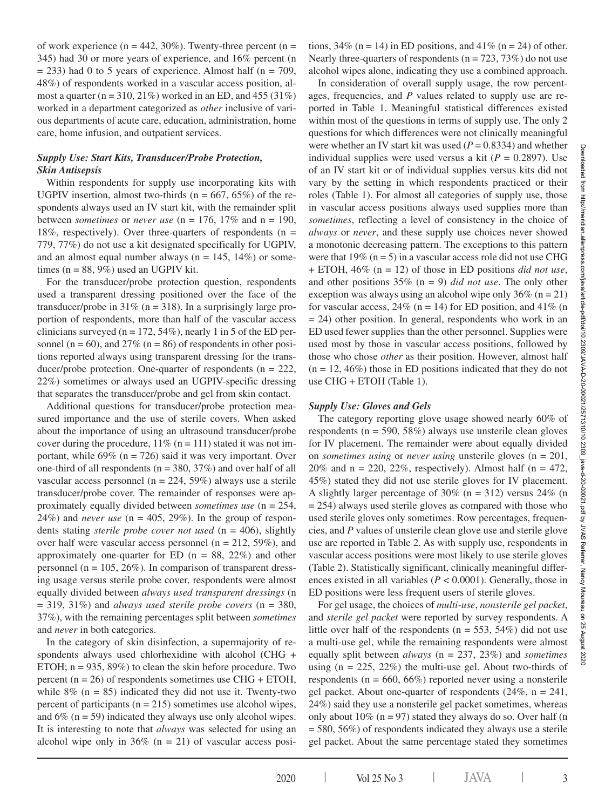of work experience ( $n = 442, 30\%$ ). Twenty-three percent ( $n =$ 345) had 30 or more years of experience, and 16% percent (n  $= 233$ ) had 0 to 5 years of experience. Almost half (n = 709, 48%) of respondents worked in a vascular access position, almost a quarter ( $n = 310, 21\%$ ) worked in an ED, and 455 (31%) worked in a department categorized as *other* inclusive of various departments of acute care, education, administration, home care, home infusion, and outpatient services.

# *Supply Use: Start Kits, Transducer/Probe Protection, Skin Antisepsis*

Within respondents for supply use incorporating kits with UGPIV insertion, almost two-thirds ( $n = 667, 65\%$ ) of the respondents always used an IV start kit, with the remainder split between *sometimes* or *never use* (n = 176, 17% and n = 190, 18%, respectively). Over three-quarters of respondents (n = 779, 77%) do not use a kit designated specifically for UGPIV, and an almost equal number always ( $n = 145$ , 14%) or sometimes ( $n = 88, 9\%$ ) used an UGPIV kit.

For the transducer/probe protection question, respondents used a transparent dressing positioned over the face of the transducer/probe in 31% ( $n = 318$ ). In a surprisingly large proportion of respondents, more than half of the vascular access clinicians surveyed ( $n = 172, 54\%$ ), nearly 1 in 5 of the ED personnel ( $n = 60$ ), and 27% ( $n = 86$ ) of respondents in other positions reported always using transparent dressing for the transducer/probe protection. One-quarter of respondents ( $n = 222$ , 22%) sometimes or always used an UGPIV-specific dressing that separates the transducer/probe and gel from skin contact.

Additional questions for transducer/probe protection measured importance and the use of sterile covers. When asked about the importance of using an ultrasound transducer/probe cover during the procedure,  $11\%$  (n = 111) stated it was not important, while  $69\%$  (n = 726) said it was very important. Over one-third of all respondents ( $n = 380, 37\%$ ) and over half of all vascular access personnel (n = 224, 59%) always use a sterile transducer/probe cover. The remainder of responses were approximately equally divided between *sometimes use* (n = 254,  $24\%$ ) and *never use* (n = 405, 29%). In the group of respondents stating *sterile probe cover not used* (n = 406), slightly over half were vascular access personnel ( $n = 212, 59\%$ ), and approximately one-quarter for ED  $(n = 88, 22\%)$  and other personnel ( $n = 105, 26\%$ ). In comparison of transparent dressing usage versus sterile probe cover, respondents were almost equally divided between *always used transparent dressings* (n = 319, 31%) and *always used sterile probe covers* (n = 380, 37%), with the remaining percentages split between *sometimes* and *never* in both categories.

In the category of skin disinfection, a supermajority of respondents always used chlorhexidine with alcohol (CHG + ETOH;  $n = 935$ , 89%) to clean the skin before procedure. Two percent ( $n = 26$ ) of respondents sometimes use CHG + ETOH, while  $8\%$  (n = 85) indicated they did not use it. Twenty-two percent of participants ( $n = 215$ ) sometimes use alcohol wipes, and  $6\%$  (n = 59) indicated they always use only alcohol wipes. It is interesting to note that *always* was selected for using an alcohol wipe only in  $36\%$  (n = 21) of vascular access positions,  $34\%$  (n = 14) in ED positions, and  $41\%$  (n = 24) of other. Nearly three-quarters of respondents ( $n = 723, 73\%$ ) do not use alcohol wipes alone, indicating they use a combined approach.

In consideration of overall supply usage, the row percentages, frequencies, and *P* values related to supply use are reported in Table 1. Meaningful statistical differences existed within most of the questions in terms of supply use. The only 2 questions for which differences were not clinically meaningful were whether an IV start kit was used  $(P = 0.8334)$  and whether individual supplies were used versus a kit  $(P = 0.2897)$ . Use of an IV start kit or of individual supplies versus kits did not vary by the setting in which respondents practiced or their roles (Table 1). For almost all categories of supply use, those in vascular access positions always used supplies more than *sometimes*, reflecting a level of consistency in the choice of *always* or *never*, and these supply use choices never showed a monotonic decreasing pattern. The exceptions to this pattern were that  $19\%$  (n = 5) in a vascular access role did not use CHG + ETOH, 46% (n = 12) of those in ED positions *did not use*, and other positions 35% (n = 9) *did not use*. The only other exception was always using an alcohol wipe only  $36\%$  (n = 21) for vascular access,  $24\%$  (n = 14) for ED position, and  $41\%$  (n = 24) other position. In general, respondents who work in an ED used fewer supplies than the other personnel. Supplies were used most by those in vascular access positions, followed by those who chose *other* as their position. However, almost half  $(n = 12, 46\%)$  those in ED positions indicated that they do not use CHG + ETOH (Table 1).

## *Supply Use: Gloves and Gels*

The category reporting glove usage showed nearly 60% of respondents ( $n = 590, 58\%)$  always use unsterile clean gloves for IV placement. The remainder were about equally divided on *sometimes using* or *never using* unsterile gloves (n = 201, 20% and  $n = 220$ , 22%, respectively). Almost half ( $n = 472$ , 45%) stated they did not use sterile gloves for IV placement. A slightly larger percentage of 30% ( $n = 312$ ) versus 24% (n = 254) always used sterile gloves as compared with those who used sterile gloves only sometimes. Row percentages, frequencies, and *P* values of unsterile clean glove use and sterile glove use are reported in Table 2. As with supply use, respondents in vascular access positions were most likely to use sterile gloves (Table 2). Statistically significant, clinically meaningful differences existed in all variables  $(P < 0.0001)$ . Generally, those in ED positions were less frequent users of sterile gloves.

For gel usage, the choices of *multi-use*, *nonsterile gel packet*, and *sterile gel packet* were reported by survey respondents. A little over half of the respondents ( $n = 553, 54\%$ ) did not use a multi-use gel, while the remaining respondents were almost equally split between *always* (n = 237, 23%) and *sometimes* using  $(n = 225, 22\%)$  the multi-use gel. About two-thirds of respondents ( $n = 660, 66\%$ ) reported never using a nonsterile gel packet. About one-quarter of respondents (24%, n = 241, 24%) said they use a nonsterile gel packet sometimes, whereas only about  $10\%$  (n = 97) stated they always do so. Over half (n = 580, 56%) of respondents indicated they always use a sterile gel packet. About the same percentage stated they sometimes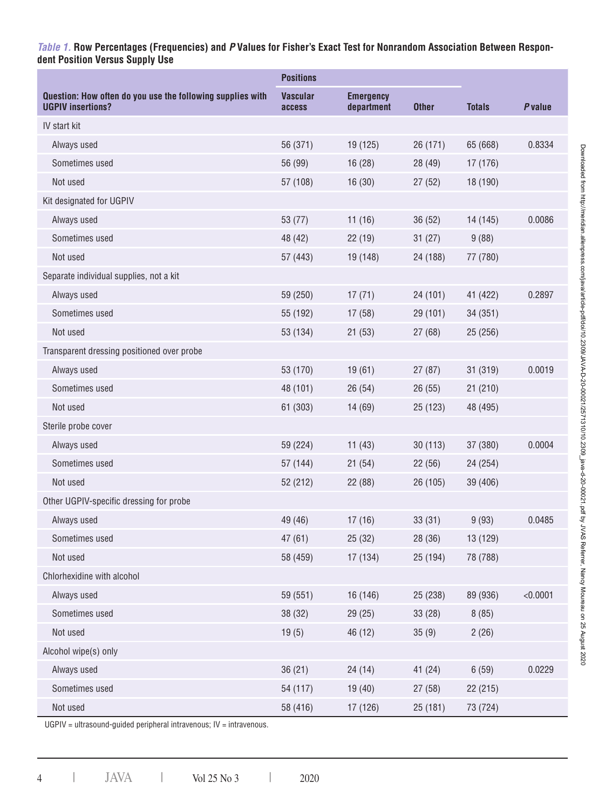# *Table 1.* **Row Percentages (Frequencies) and** *P* **Values for Fisher's Exact Test for Nonrandom Association Between Respondent Position Versus Supply Use**

|                                                                                        | <b>Positions</b>          |                                |              |               |                |
|----------------------------------------------------------------------------------------|---------------------------|--------------------------------|--------------|---------------|----------------|
| Question: How often do you use the following supplies with<br><b>UGPIV insertions?</b> | <b>Vascular</b><br>access | <b>Emergency</b><br>department | <b>Other</b> | <b>Totals</b> | <b>P</b> value |
| IV start kit                                                                           |                           |                                |              |               |                |
| Always used                                                                            | 56 (371)                  | 19 (125)                       | 26 (171)     | 65 (668)      | 0.8334         |
| Sometimes used                                                                         | 56 (99)                   | 16(28)                         | 28 (49)      | 17 (176)      |                |
| Not used                                                                               | 57 (108)                  | 16(30)                         | 27(52)       | 18 (190)      |                |
| Kit designated for UGPIV                                                               |                           |                                |              |               |                |
| Always used                                                                            | 53 (77)                   | 11(16)                         | 36(52)       | 14 (145)      | 0.0086         |
| Sometimes used                                                                         | 48 (42)                   | 22(19)                         | 31(27)       | 9(88)         |                |
| Not used                                                                               | 57 (443)                  | 19 (148)                       | 24 (188)     | 77 (780)      |                |
| Separate individual supplies, not a kit                                                |                           |                                |              |               |                |
| Always used                                                                            | 59 (250)                  | 17(71)                         | 24(101)      | 41 (422)      | 0.2897         |
| Sometimes used                                                                         | 55 (192)                  | 17(58)                         | 29 (101)     | 34 (351)      |                |
| Not used                                                                               | 53 (134)                  | 21(53)                         | 27(68)       | 25 (256)      |                |
| Transparent dressing positioned over probe                                             |                           |                                |              |               |                |
| Always used                                                                            | 53 (170)                  | 19(61)                         | 27(87)       | 31 (319)      | 0.0019         |
| Sometimes used                                                                         | 48 (101)                  | 26(54)                         | 26(55)       | 21(210)       |                |
| Not used                                                                               | 61 (303)                  | 14 (69)                        | 25 (123)     | 48 (495)      |                |
| Sterile probe cover                                                                    |                           |                                |              |               |                |
| Always used                                                                            | 59 (224)                  | 11(43)                         | 30(113)      | 37 (380)      | 0.0004         |
| Sometimes used                                                                         | 57 (144)                  | 21(54)                         | 22(56)       | 24 (254)      |                |
| Not used                                                                               | 52 (212)                  | 22 (88)                        | 26 (105)     | 39 (406)      |                |
| Other UGPIV-specific dressing for probe                                                |                           |                                |              |               |                |
| Always used                                                                            | 49 (46)                   | 17(16)                         | 33(31)       | 9(93)         | 0.0485         |
| Sometimes used                                                                         | 47(61)                    | 25(32)                         | 28 (36)      | 13 (129)      |                |
| Not used                                                                               | 58 (459)                  | 17 (134)                       | 25 (194)     | 78 (788)      |                |
| Chlorhexidine with alcohol                                                             |                           |                                |              |               |                |
| Always used                                                                            | 59 (551)                  | 16 (146)                       | 25 (238)     | 89 (936)      | < 0.0001       |
| Sometimes used                                                                         | 38 (32)                   | 29(25)                         | 33(28)       | 8(85)         |                |
| Not used                                                                               | 19(5)                     | 46 (12)                        | 35(9)        | 2(26)         |                |
| Alcohol wipe(s) only                                                                   |                           |                                |              |               |                |
| Always used                                                                            | 36(21)                    | 24(14)                         | 41(24)       | 6(59)         | 0.0229         |
| Sometimes used                                                                         | 54 (117)                  | 19(40)                         | 27(58)       | 22 (215)      |                |
| Not used                                                                               | 58 (416)                  | 17 (126)                       | 25 (181)     | 73 (724)      |                |

UGPIV = ultrasound-guided peripheral intravenous; IV = intravenous.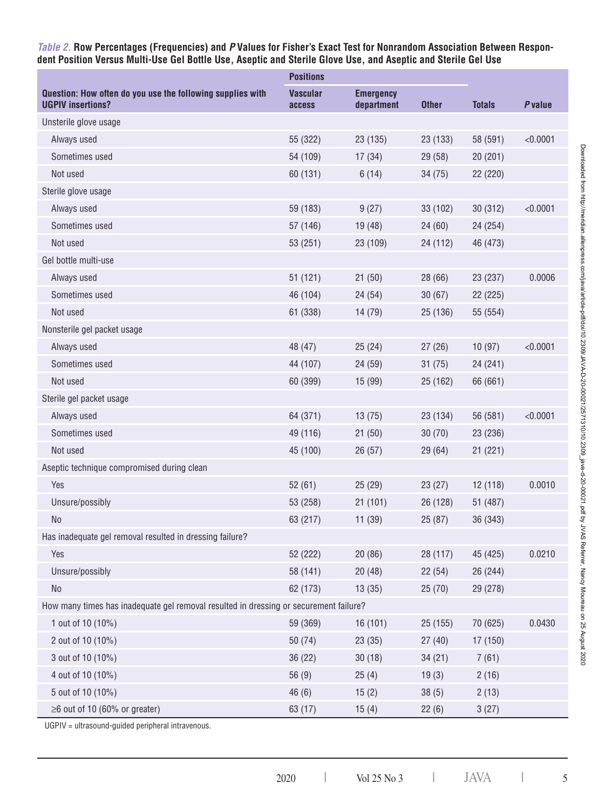|                                                                                        | <b>Positions</b>          |                                |              |               |                |  |
|----------------------------------------------------------------------------------------|---------------------------|--------------------------------|--------------|---------------|----------------|--|
| Question: How often do you use the following supplies with<br><b>UGPIV insertions?</b> | <b>Vascular</b><br>access | <b>Emergency</b><br>department | <b>Other</b> | <b>Totals</b> | <b>P</b> value |  |
| Unsterile glove usage                                                                  |                           |                                |              |               |                |  |
| Always used                                                                            | 55 (322)                  | 23 (135)                       | 23 (133)     | 58 (591)      | < 0.0001       |  |
| Sometimes used                                                                         | 54 (109)                  | 17(34)                         | 29 (58)      | 20(201)       |                |  |
| Not used                                                                               | 60 (131)                  | 6(14)                          | 34 (75)      | 22 (220)      |                |  |
| Sterile glove usage                                                                    |                           |                                |              |               |                |  |
| Always used                                                                            | 59 (183)                  | 9(27)                          | 33 (102)     | 30 (312)      | < 0.0001       |  |
| Sometimes used                                                                         | 57 (146)                  | 19(48)                         | 24(60)       | 24 (254)      |                |  |
| Not used                                                                               | 53 (251)                  | 23 (109)                       | 24 (112)     | 46 (473)      |                |  |
| Gel bottle multi-use                                                                   |                           |                                |              |               |                |  |
| Always used                                                                            | 51(121)                   | 21(50)                         | 28 (66)      | 23 (237)      | 0.0006         |  |
| Sometimes used                                                                         | 46 (104)                  | 24 (54)                        | 30(67)       | 22 (225)      |                |  |
| Not used                                                                               | 61 (338)                  | 14 (79)                        | 25 (136)     | 55 (554)      |                |  |
| Nonsterile gel packet usage                                                            |                           |                                |              |               |                |  |
| Always used                                                                            | 48 (47)                   | 25(24)                         | 27(26)       | 10(97)        | < 0.0001       |  |
| Sometimes used                                                                         | 44 (107)                  | 24 (59)                        | 31(75)       | 24 (241)      |                |  |
| Not used                                                                               | 60 (399)                  | 15 (99)                        | 25 (162)     | 66 (661)      |                |  |
| Sterile gel packet usage                                                               |                           |                                |              |               |                |  |
| Always used                                                                            | 64 (371)                  | 13(75)                         | 23 (134)     | 56 (581)      | < 0.0001       |  |
| Sometimes used                                                                         | 49 (116)                  | 21(50)                         | 30(70)       | 23 (236)      |                |  |
| Not used                                                                               | 45 (100)                  | 26(57)                         | 29 (64)      | 21(221)       |                |  |
| Aseptic technique compromised during clean                                             |                           |                                |              |               |                |  |
| Yes                                                                                    | 52(61)                    | 25(29)                         | 23(27)       | 12(118)       | 0.0010         |  |
| Unsure/possibly                                                                        | 53 (258)                  | 21(101)                        | 26 (128)     | 51 (487)      |                |  |
| N <sub>o</sub>                                                                         | 63 (217)                  | 11(39)                         | 25(87)       | 36 (343)      |                |  |
| Has inadequate gel removal resulted in dressing failure?                               |                           |                                |              |               |                |  |
| Yes                                                                                    | 52 (222)                  | 20(86)                         | 28 (117)     | 45 (425)      | 0.0210         |  |
| Unsure/possibly                                                                        | 58 (141)                  | 20(48)                         | 22(54)       | 26 (244)      |                |  |
| $\rm No$                                                                               | 62 (173)                  | 13(35)                         | 25(70)       | 29 (278)      |                |  |
| How many times has inadequate gel removal resulted in dressing or securement failure?  |                           |                                |              |               |                |  |
| 1 out of 10 (10%)                                                                      | 59 (369)                  | 16(101)                        | 25(155)      | 70 (625)      | 0.0430         |  |
| 2 out of 10 (10%)                                                                      | 50(74)                    | 23(35)                         | 27(40)       | 17(150)       |                |  |
| 3 out of 10 (10%)                                                                      | 36(22)                    | 30(18)                         | 34(21)       | 7(61)         |                |  |
| 4 out of 10 (10%)                                                                      | 56(9)                     | 25(4)                          | 19(3)        | 2(16)         |                |  |
| 5 out of 10 (10%)                                                                      | 46(6)                     | 15(2)                          | 38(5)        | 2(13)         |                |  |
| $\geq$ 6 out of 10 (60% or greater)                                                    | 63 (17)                   | 15(4)                          | 22(6)        | 3(27)         |                |  |

*Table 2.* **Row Percentages (Frequencies) and** *P* **Values for Fisher's Exact Test for Nonrandom Association Between Respondent Position Versus Multi-Use Gel Bottle Use, Aseptic and Sterile Glove Use, and Aseptic and Sterile Gel Use**

UGPIV = ultrasound-guided peripheral intravenous.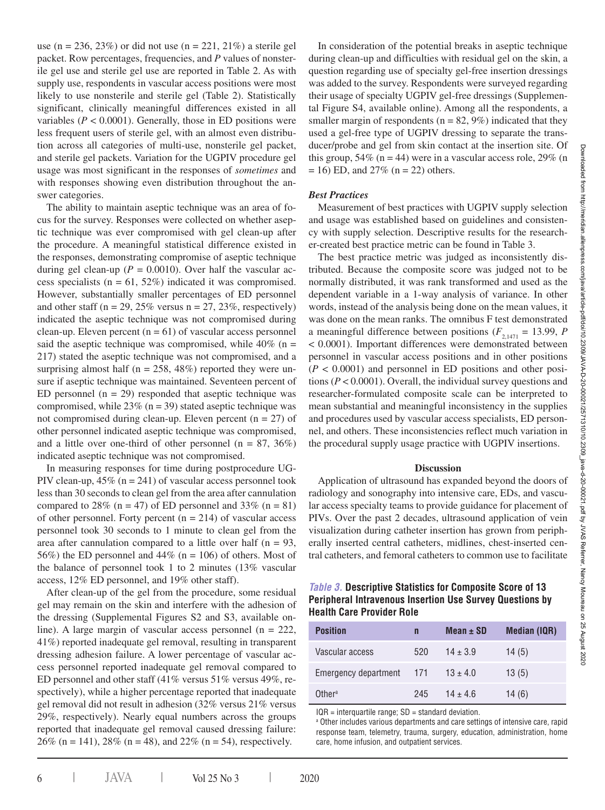use (n = 236, 23%) or did not use (n = 221, 21%) a sterile gel packet. Row percentages, frequencies, and *P* values of nonsterile gel use and sterile gel use are reported in Table 2. As with supply use, respondents in vascular access positions were most likely to use nonsterile and sterile gel (Table 2). Statistically significant, clinically meaningful differences existed in all variables ( $P < 0.0001$ ). Generally, those in ED positions were less frequent users of sterile gel, with an almost even distribution across all categories of multi-use, nonsterile gel packet, and sterile gel packets. Variation for the UGPIV procedure gel usage was most significant in the responses of *sometimes* and with responses showing even distribution throughout the answer categories.

The ability to maintain aseptic technique was an area of focus for the survey. Responses were collected on whether aseptic technique was ever compromised with gel clean-up after the procedure. A meaningful statistical difference existed in the responses, demonstrating compromise of aseptic technique during gel clean-up ( $P = 0.0010$ ). Over half the vascular access specialists ( $n = 61, 52\%$ ) indicated it was compromised. However, substantially smaller percentages of ED personnel and other staff (n = 29, 25% versus  $n = 27, 23\%$ , respectively) indicated the aseptic technique was not compromised during clean-up. Eleven percent  $(n = 61)$  of vascular access personnel said the aseptic technique was compromised, while  $40\%$  (n = 217) stated the aseptic technique was not compromised, and a surprising almost half ( $n = 258$ , 48%) reported they were unsure if aseptic technique was maintained. Seventeen percent of ED personnel  $(n = 29)$  responded that aseptic technique was compromised, while  $23\%$  (n = 39) stated aseptic technique was not compromised during clean-up. Eleven percent  $(n = 27)$  of other personnel indicated aseptic technique was compromised, and a little over one-third of other personnel ( $n = 87, 36\%$ ) indicated aseptic technique was not compromised.

In measuring responses for time during postprocedure UG-PIV clean-up,  $45\%$  (n = 241) of vascular access personnel took less than 30 seconds to clean gel from the area after cannulation compared to  $28\%$  (n = 47) of ED personnel and  $33\%$  (n = 81) of other personnel. Forty percent  $(n = 214)$  of vascular access personnel took 30 seconds to 1 minute to clean gel from the area after cannulation compared to a little over half ( $n = 93$ , 56%) the ED personnel and 44% ( $n = 106$ ) of others. Most of the balance of personnel took 1 to 2 minutes (13% vascular access, 12% ED personnel, and 19% other staff).

After clean-up of the gel from the procedure, some residual gel may remain on the skin and interfere with the adhesion of the dressing (Supplemental Figures S2 and S3, available online). A large margin of vascular access personnel (n = 222, 41%) reported inadequate gel removal, resulting in transparent dressing adhesion failure. A lower percentage of vascular access personnel reported inadequate gel removal compared to ED personnel and other staff (41% versus 51% versus 49%, respectively), while a higher percentage reported that inadequate gel removal did not result in adhesion (32% versus 21% versus 29%, respectively). Nearly equal numbers across the groups reported that inadequate gel removal caused dressing failure: 26% (n = 141), 28% (n = 48), and 22% (n = 54), respectively.

In consideration of the potential breaks in aseptic technique during clean-up and difficulties with residual gel on the skin, a question regarding use of specialty gel-free insertion dressings was added to the survey. Respondents were surveyed regarding their usage of specialty UGPIV gel-free dressings (Supplemental Figure S4, available online). Among all the respondents, a smaller margin of respondents ( $n = 82, 9\%$ ) indicated that they used a gel-free type of UGPIV dressing to separate the transducer/probe and gel from skin contact at the insertion site. Of this group,  $54\%$  (n = 44) were in a vascular access role,  $29\%$  (n  $= 16$ ) ED, and 27% (n  $= 22$ ) others.

#### *Best Practices*

Measurement of best practices with UGPIV supply selection and usage was established based on guidelines and consistency with supply selection. Descriptive results for the researcher-created best practice metric can be found in Table 3.

The best practice metric was judged as inconsistently distributed. Because the composite score was judged not to be normally distributed, it was rank transformed and used as the dependent variable in a 1-way analysis of variance. In other words, instead of the analysis being done on the mean values, it was done on the mean ranks. The omnibus F test demonstrated a meaningful difference between positions ( $F_{2,1471} = 13.99$ , *P* < 0.0001). Important differences were demonstrated between personnel in vascular access positions and in other positions  $(P < 0.0001)$  and personnel in ED positions and other positions (*P* < 0.0001). Overall, the individual survey questions and researcher-formulated composite scale can be interpreted to mean substantial and meaningful inconsistency in the supplies and procedures used by vascular access specialists, ED personnel, and others. These inconsistencies reflect much variation in the procedural supply usage practice with UGPIV insertions.

#### **Discussion**

Application of ultrasound has expanded beyond the doors of radiology and sonography into intensive care, EDs, and vascular access specialty teams to provide guidance for placement of PIVs. Over the past 2 decades, ultrasound application of vein visualization during catheter insertion has grown from peripherally inserted central catheters, midlines, chest-inserted central catheters, and femoral catheters to common use to facilitate

# *Table 3.* **Descriptive Statistics for Composite Score of 13 Peripheral Intravenous Insertion Use Survey Questions by Health Care Provider Role**

| <b>Position</b>      | n   | Mean $\pm$ SD | Median (IQR) |
|----------------------|-----|---------------|--------------|
| Vascular access      | 520 | $14 + 3.9$    | 14(5)        |
| Emergency department | 171 | $13 \pm 4.0$  | 13(5)        |
| Other <sup>a</sup>   | 245 | $14 + 4.6$    | 14(6)        |

 $IQR =$  interquartile range;  $SD =$  standard deviation.

<sup>a</sup> Other includes various departments and care settings of intensive care, rapid response team, telemetry, trauma, surgery, education, administration, home care, home infusion, and outpatient services.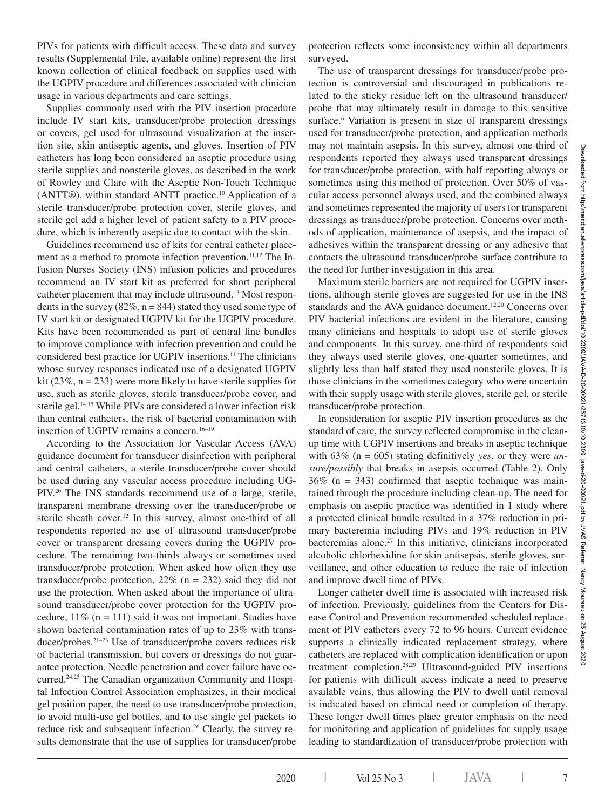PIVs for patients with difficult access. These data and survey results (Supplemental File, available online) represent the first known collection of clinical feedback on supplies used with the UGPIV procedure and differences associated with clinician usage in various departments and care settings.

Supplies commonly used with the PIV insertion procedure include IV start kits, transducer/probe protection dressings or covers, gel used for ultrasound visualization at the insertion site, skin antiseptic agents, and gloves. Insertion of PIV catheters has long been considered an aseptic procedure using sterile supplies and nonsterile gloves, as described in the work of Rowley and Clare with the Aseptic Non-Touch Technique (ANTT®), within standard ANTT practice.<sup>10</sup> Application of a sterile transducer/probe protection cover, sterile gloves, and sterile gel add a higher level of patient safety to a PIV procedure, which is inherently aseptic due to contact with the skin.

Guidelines recommend use of kits for central catheter placement as a method to promote infection prevention.<sup>11,12</sup> The Infusion Nurses Society (INS) infusion policies and procedures recommend an IV start kit as preferred for short peripheral catheter placement that may include ultrasound.13 Most respondents in the survey  $(82\%, n = 844)$  stated they used some type of IV start kit or designated UGPIV kit for the UGPIV procedure. Kits have been recommended as part of central line bundles to improve compliance with infection prevention and could be considered best practice for UGPIV insertions.<sup>11</sup> The clinicians whose survey responses indicated use of a designated UGPIV kit (23%,  $n = 233$ ) were more likely to have sterile supplies for use, such as sterile gloves, sterile transducer/probe cover, and sterile gel.14,15 While PIVs are considered a lower infection risk than central catheters, the risk of bacterial contamination with insertion of UGPIV remains a concern.<sup>16-19</sup>

According to the Association for Vascular Access (AVA) guidance document for transducer disinfection with peripheral and central catheters, a sterile transducer/probe cover should be used during any vascular access procedure including UG-PIV.20 The INS standards recommend use of a large, sterile, transparent membrane dressing over the transducer/probe or sterile sheath cover.<sup>12</sup> In this survey, almost one-third of all respondents reported no use of ultrasound transducer/probe cover or transparent dressing covers during the UGPIV procedure. The remaining two-thirds always or sometimes used transducer/probe protection. When asked how often they use transducer/probe protection,  $22\%$  (n = 232) said they did not use the protection. When asked about the importance of ultrasound transducer/probe cover protection for the UGPIV procedure,  $11\%$  (n = 111) said it was not important. Studies have shown bacterial contamination rates of up to 23% with transducer/probes.<sup>21–23</sup> Use of transducer/probe covers reduces risk of bacterial transmission, but covers or dressings do not guarantee protection. Needle penetration and cover failure have occurred.24,25 The Canadian organization Community and Hospital Infection Control Association emphasizes, in their medical gel position paper, the need to use transducer/probe protection, to avoid multi-use gel bottles, and to use single gel packets to reduce risk and subsequent infection.<sup>26</sup> Clearly, the survey results demonstrate that the use of supplies for transducer/probe protection reflects some inconsistency within all departments surveyed.

The use of transparent dressings for transducer/probe protection is controversial and discouraged in publications related to the sticky residue left on the ultrasound transducer/ probe that may ultimately result in damage to this sensitive surface.<sup>6</sup> Variation is present in size of transparent dressings used for transducer/probe protection, and application methods may not maintain asepsis. In this survey, almost one-third of respondents reported they always used transparent dressings for transducer/probe protection, with half reporting always or sometimes using this method of protection. Over 50% of vascular access personnel always used, and the combined always and sometimes represented the majority of users for transparent dressings as transducer/probe protection. Concerns over methods of application, maintenance of asepsis, and the impact of adhesives within the transparent dressing or any adhesive that contacts the ultrasound transducer/probe surface contribute to the need for further investigation in this area.

Maximum sterile barriers are not required for UGPIV insertions, although sterile gloves are suggested for use in the INS standards and the AVA guidance document.<sup>12,20</sup> Concerns over PIV bacterial infections are evident in the literature, causing many clinicians and hospitals to adopt use of sterile gloves and components. In this survey, one-third of respondents said they always used sterile gloves, one-quarter sometimes, and slightly less than half stated they used nonsterile gloves. It is those clinicians in the sometimes category who were uncertain with their supply usage with sterile gloves, sterile gel, or sterile transducer/probe protection.

In consideration for aseptic PIV insertion procedures as the standard of care, the survey reflected compromise in the cleanup time with UGPIV insertions and breaks in aseptic technique with 63% (n = 605) stating definitively *yes*, or they were *unsure/possibly* that breaks in asepsis occurred (Table 2). Only 36% (n = 343) confirmed that aseptic technique was maintained through the procedure including clean-up. The need for emphasis on aseptic practice was identified in 1 study where a protected clinical bundle resulted in a 37% reduction in primary bacteremia including PIVs and 19% reduction in PIV bacteremias alone.<sup>27</sup> In this initiative, clinicians incorporated alcoholic chlorhexidine for skin antisepsis, sterile gloves, surveillance, and other education to reduce the rate of infection and improve dwell time of PIVs.

Longer catheter dwell time is associated with increased risk of infection. Previously, guidelines from the Centers for Disease Control and Prevention recommended scheduled replacement of PIV catheters every 72 to 96 hours. Current evidence supports a clinically indicated replacement strategy, where catheters are replaced with complication identification or upon treatment completion.28,29 Ultrasound-guided PIV insertions for patients with difficult access indicate a need to preserve available veins, thus allowing the PIV to dwell until removal is indicated based on clinical need or completion of therapy. These longer dwell times place greater emphasis on the need for monitoring and application of guidelines for supply usage leading to standardization of transducer/probe protection with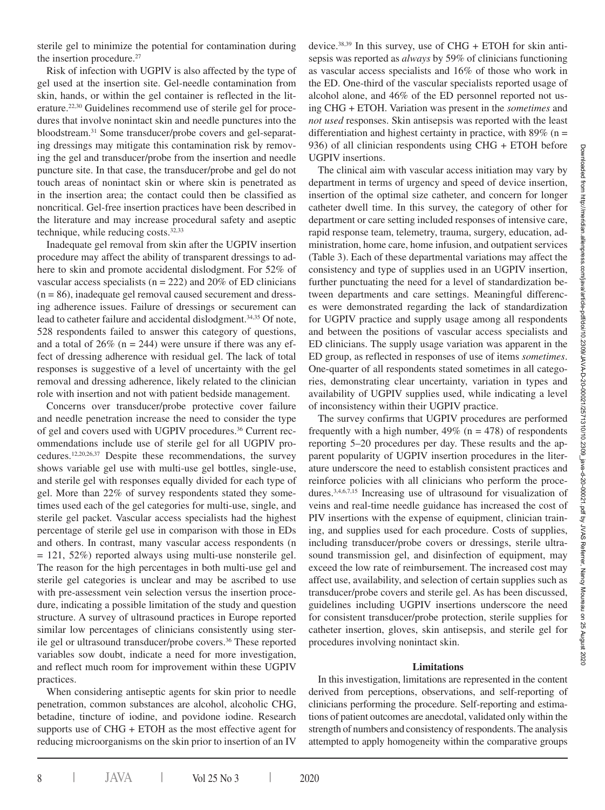sterile gel to minimize the potential for contamination during the insertion procedure.<sup>27</sup>

Risk of infection with UGPIV is also affected by the type of gel used at the insertion site. Gel-needle contamination from skin, hands, or within the gel container is reflected in the literature.<sup>22,30</sup> Guidelines recommend use of sterile gel for procedures that involve nonintact skin and needle punctures into the bloodstream.31 Some transducer/probe covers and gel-separating dressings may mitigate this contamination risk by removing the gel and transducer/probe from the insertion and needle puncture site. In that case, the transducer/probe and gel do not touch areas of nonintact skin or where skin is penetrated as in the insertion area; the contact could then be classified as noncritical. Gel-free insertion practices have been described in the literature and may increase procedural safety and aseptic technique, while reducing costs.<sup>32,33</sup>

Inadequate gel removal from skin after the UGPIV insertion procedure may affect the ability of transparent dressings to adhere to skin and promote accidental dislodgment. For 52% of vascular access specialists ( $n = 222$ ) and 20% of ED clinicians  $(n = 86)$ , inadequate gel removal caused securement and dressing adherence issues. Failure of dressings or securement can lead to catheter failure and accidental dislodgment.<sup>34,35</sup> Of note, 528 respondents failed to answer this category of questions, and a total of  $26\%$  (n = 244) were unsure if there was any effect of dressing adherence with residual gel. The lack of total responses is suggestive of a level of uncertainty with the gel removal and dressing adherence, likely related to the clinician role with insertion and not with patient bedside management.

Concerns over transducer/probe protective cover failure and needle penetration increase the need to consider the type of gel and covers used with UGPIV procedures.<sup>36</sup> Current recommendations include use of sterile gel for all UGPIV procedures.12,20,26,37 Despite these recommendations, the survey shows variable gel use with multi-use gel bottles, single-use, and sterile gel with responses equally divided for each type of gel. More than 22% of survey respondents stated they sometimes used each of the gel categories for multi-use, single, and sterile gel packet. Vascular access specialists had the highest percentage of sterile gel use in comparison with those in EDs and others. In contrast, many vascular access respondents (n = 121, 52%) reported always using multi-use nonsterile gel. The reason for the high percentages in both multi-use gel and sterile gel categories is unclear and may be ascribed to use with pre-assessment vein selection versus the insertion procedure, indicating a possible limitation of the study and question structure. A survey of ultrasound practices in Europe reported similar low percentages of clinicians consistently using sterile gel or ultrasound transducer/probe covers.<sup>36</sup> These reported variables sow doubt, indicate a need for more investigation, and reflect much room for improvement within these UGPIV practices.

When considering antiseptic agents for skin prior to needle penetration, common substances are alcohol, alcoholic CHG, betadine, tincture of iodine, and povidone iodine. Research supports use of CHG + ETOH as the most effective agent for reducing microorganisms on the skin prior to insertion of an IV device.<sup>38,39</sup> In this survey, use of CHG + ETOH for skin antisepsis was reported as *always* by 59% of clinicians functioning as vascular access specialists and 16% of those who work in the ED. One-third of the vascular specialists reported usage of alcohol alone, and 46% of the ED personnel reported not using CHG + ETOH. Variation was present in the *sometimes* and *not used* responses. Skin antisepsis was reported with the least differentiation and highest certainty in practice, with  $89\%$  (n = 936) of all clinician respondents using CHG + ETOH before UGPIV insertions.

The clinical aim with vascular access initiation may vary by department in terms of urgency and speed of device insertion, insertion of the optimal size catheter, and concern for longer catheter dwell time. In this survey, the category of other for department or care setting included responses of intensive care, rapid response team, telemetry, trauma, surgery, education, administration, home care, home infusion, and outpatient services (Table 3). Each of these departmental variations may affect the consistency and type of supplies used in an UGPIV insertion, further punctuating the need for a level of standardization between departments and care settings. Meaningful differences were demonstrated regarding the lack of standardization for UGPIV practice and supply usage among all respondents and between the positions of vascular access specialists and ED clinicians. The supply usage variation was apparent in the ED group, as reflected in responses of use of items *sometimes*. One-quarter of all respondents stated sometimes in all categories, demonstrating clear uncertainty, variation in types and availability of UGPIV supplies used, while indicating a level of inconsistency within their UGPIV practice.

The survey confirms that UGPIV procedures are performed frequently with a high number,  $49\%$  (n = 478) of respondents reporting 5–20 procedures per day. These results and the apparent popularity of UGPIV insertion procedures in the literature underscore the need to establish consistent practices and reinforce policies with all clinicians who perform the procedures.3,4,6,7,15 Increasing use of ultrasound for visualization of veins and real-time needle guidance has increased the cost of PIV insertions with the expense of equipment, clinician training, and supplies used for each procedure. Costs of supplies, including transducer/probe covers or dressings, sterile ultrasound transmission gel, and disinfection of equipment, may exceed the low rate of reimbursement. The increased cost may affect use, availability, and selection of certain supplies such as transducer/probe covers and sterile gel. As has been discussed, guidelines including UGPIV insertions underscore the need for consistent transducer/probe protection, sterile supplies for catheter insertion, gloves, skin antisepsis, and sterile gel for procedures involving nonintact skin.

#### **Limitations**

In this investigation, limitations are represented in the content derived from perceptions, observations, and self-reporting of clinicians performing the procedure. Self-reporting and estimations of patient outcomes are anecdotal, validated only within the strength of numbers and consistency of respondents. The analysis attempted to apply homogeneity within the comparative groups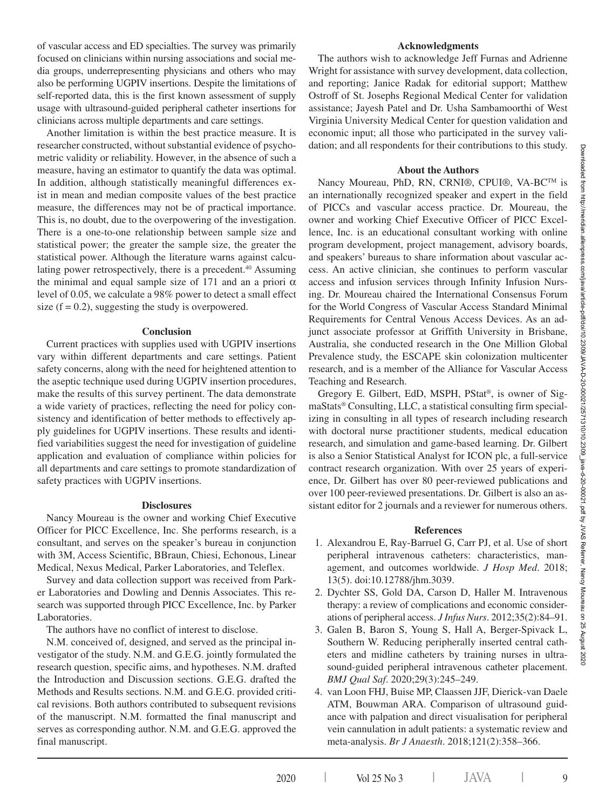of vascular access and ED specialties. The survey was primarily focused on clinicians within nursing associations and social media groups, underrepresenting physicians and others who may also be performing UGPIV insertions. Despite the limitations of self-reported data, this is the first known assessment of supply usage with ultrasound-guided peripheral catheter insertions for clinicians across multiple departments and care settings.

Another limitation is within the best practice measure. It is researcher constructed, without substantial evidence of psychometric validity or reliability. However, in the absence of such a measure, having an estimator to quantify the data was optimal. In addition, although statistically meaningful differences exist in mean and median composite values of the best practice measure, the differences may not be of practical importance. This is, no doubt, due to the overpowering of the investigation. There is a one-to-one relationship between sample size and statistical power; the greater the sample size, the greater the statistical power. Although the literature warns against calculating power retrospectively, there is a precedent.<sup>40</sup> Assuming the minimal and equal sample size of 171 and an a priori  $\alpha$ level of 0.05, we calculate a 98% power to detect a small effect size  $(f = 0.2)$ , suggesting the study is overpowered.

## **Conclusion**

Current practices with supplies used with UGPIV insertions vary within different departments and care settings. Patient safety concerns, along with the need for heightened attention to the aseptic technique used during UGPIV insertion procedures, make the results of this survey pertinent. The data demonstrate a wide variety of practices, reflecting the need for policy consistency and identification of better methods to effectively apply guidelines for UGPIV insertions. These results and identified variabilities suggest the need for investigation of guideline application and evaluation of compliance within policies for all departments and care settings to promote standardization of safety practices with UGPIV insertions.

## **Disclosures**

Nancy Moureau is the owner and working Chief Executive Officer for PICC Excellence, Inc. She performs research, is a consultant, and serves on the speaker's bureau in conjunction with 3M, Access Scientific, BBraun, Chiesi, Echonous, Linear Medical, Nexus Medical, Parker Laboratories, and Teleflex.

Survey and data collection support was received from Parker Laboratories and Dowling and Dennis Associates. This research was supported through PICC Excellence, Inc. by Parker Laboratories.

The authors have no conflict of interest to disclose.

N.M. conceived of, designed, and served as the principal investigator of the study. N.M. and G.E.G. jointly formulated the research question, specific aims, and hypotheses. N.M. drafted the Introduction and Discussion sections. G.E.G. drafted the Methods and Results sections. N.M. and G.E.G. provided critical revisions. Both authors contributed to subsequent revisions of the manuscript. N.M. formatted the final manuscript and serves as corresponding author. N.M. and G.E.G. approved the final manuscript.

## **Acknowledgments**

The authors wish to acknowledge Jeff Furnas and Adrienne Wright for assistance with survey development, data collection, and reporting; Janice Radak for editorial support; Matthew Ostroff of St. Josephs Regional Medical Center for validation assistance; Jayesh Patel and Dr. Usha Sambamoorthi of West Virginia University Medical Center for question validation and economic input; all those who participated in the survey validation; and all respondents for their contributions to this study.

#### **About the Authors**

Nancy Moureau, PhD, RN, CRNI®, CPUI®, VA-BC™ is an internationally recognized speaker and expert in the field of PICCs and vascular access practice. Dr. Moureau, the owner and working Chief Executive Officer of PICC Excellence, Inc. is an educational consultant working with online program development, project management, advisory boards, and speakers' bureaus to share information about vascular access. An active clinician, she continues to perform vascular access and infusion services through Infinity Infusion Nursing. Dr. Moureau chaired the International Consensus Forum for the World Congress of Vascular Access Standard Minimal Requirements for Central Venous Access Devices. As an adjunct associate professor at Griffith University in Brisbane, Australia, she conducted research in the One Million Global Prevalence study, the ESCAPE skin colonization multicenter research, and is a member of the Alliance for Vascular Access Teaching and Research.

Gregory E. Gilbert, EdD, MSPH, PStat®, is owner of SigmaStats® Consulting, LLC, a statistical consulting firm specializing in consulting in all types of research including research with doctoral nurse practitioner students, medical education research, and simulation and game-based learning. Dr. Gilbert is also a Senior Statistical Analyst for ICON plc, a full-service contract research organization. With over 25 years of experience, Dr. Gilbert has over 80 peer-reviewed publications and over 100 peer-reviewed presentations. Dr. Gilbert is also an assistant editor for 2 journals and a reviewer for numerous others.

## **References**

- 1. Alexandrou E, Ray-Barruel G, Carr PJ, et al. Use of short peripheral intravenous catheters: characteristics, management, and outcomes worldwide. *J Hosp Med*. 2018; 13(5). doi:10.12788/jhm.3039.
- 2. Dychter SS, Gold DA, Carson D, Haller M. Intravenous therapy: a review of complications and economic considerations of peripheral access. *J Infus Nurs*. 2012;35(2):84–91.
- 3. Galen B, Baron S, Young S, Hall A, Berger-Spivack L, Southern W. Reducing peripherally inserted central catheters and midline catheters by training nurses in ultrasound-guided peripheral intravenous catheter placement. *BMJ Qual Saf*. 2020;29(3):245–249.
- 4. van Loon FHJ, Buise MP, Claassen JJF, Dierick-van Daele ATM, Bouwman ARA. Comparison of ultrasound guidance with palpation and direct visualisation for peripheral vein cannulation in adult patients: a systematic review and meta-analysis. *Br J Anaesth*. 2018;121(2):358–366.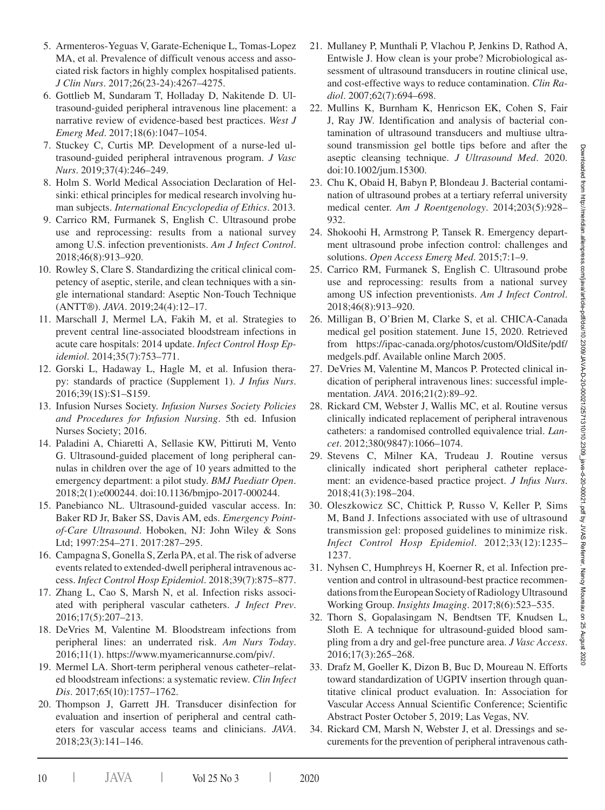- 5. Armenteros-Yeguas V, Garate-Echenique L, Tomas-Lopez MA, et al. Prevalence of difficult venous access and associated risk factors in highly complex hospitalised patients. *J Clin Nurs*. 2017;26(23-24):4267–4275.
- 6. Gottlieb M, Sundaram T, Holladay D, Nakitende D. Ultrasound-guided peripheral intravenous line placement: a narrative review of evidence-based best practices. *West J Emerg Med*. 2017;18(6):1047–1054.
- 7. Stuckey C, Curtis MP. Development of a nurse-led ultrasound-guided peripheral intravenous program. *J Vasc Nurs*. 2019;37(4):246–249.
- 8. Holm S. World Medical Association Declaration of Helsinki: ethical principles for medical research involving human subjects. *International Encyclopedia of Ethics*. 2013.
- 9. Carrico RM, Furmanek S, English C. Ultrasound probe use and reprocessing: results from a national survey among U.S. infection preventionists. *Am J Infect Control*. 2018;46(8):913–920.
- 10. Rowley S, Clare S. Standardizing the critical clinical competency of aseptic, sterile, and clean techniques with a single international standard: Aseptic Non-Touch Technique (ANTT®). *JAVA*. 2019;24(4):12–17.
- 11. Marschall J, Mermel LA, Fakih M, et al. Strategies to prevent central line-associated bloodstream infections in acute care hospitals: 2014 update. *Infect Control Hosp Epidemiol*. 2014;35(7):753–771.
- 12. Gorski L, Hadaway L, Hagle M, et al. Infusion therapy: standards of practice (Supplement 1). *J Infus Nurs*. 2016;39(1S):S1–S159.
- 13. Infusion Nurses Society. *Infusion Nurses Society Policies and Procedures for Infusion Nursing*. 5th ed. Infusion Nurses Society; 2016.
- 14. Paladini A, Chiaretti A, Sellasie KW, Pittiruti M, Vento G. Ultrasound-guided placement of long peripheral cannulas in children over the age of 10 years admitted to the emergency department: a pilot study. *BMJ Paediatr Open*. 2018;2(1):e000244. doi:10.1136/bmjpo-2017-000244.
- 15. Panebianco NL. Ultrasound-guided vascular access. In: Baker RD Jr, Baker SS, Davis AM, eds. *Emergency Pointof-Care Ultrasound*. Hoboken, NJ: John Wiley & Sons Ltd; 1997:254–271. 2017:287–295.
- 16. Campagna S, Gonella S, Zerla PA, et al. The risk of adverse events related to extended-dwell peripheral intravenous access. *Infect Control Hosp Epidemiol*. 2018;39(7):875–877.
- 17. Zhang L, Cao S, Marsh N, et al. Infection risks associated with peripheral vascular catheters. *J Infect Prev*. 2016;17(5):207–213.
- 18. DeVries M, Valentine M. Bloodstream infections from peripheral lines: an underrated risk. *Am Nurs Today*. 2016;11(1). https://www.myamericannurse.com/piv/.
- 19. Mermel LA. Short-term peripheral venous catheter–related bloodstream infections: a systematic review. *Clin Infect Dis*. 2017;65(10):1757–1762.
- 20. Thompson J, Garrett JH. Transducer disinfection for evaluation and insertion of peripheral and central catheters for vascular access teams and clinicians. *JAVA*. 2018;23(3):141–146.
- 21. Mullaney P, Munthali P, Vlachou P, Jenkins D, Rathod A, Entwisle J. How clean is your probe? Microbiological assessment of ultrasound transducers in routine clinical use, and cost-effective ways to reduce contamination. *Clin Radiol*. 2007;62(7):694–698.
- 22. Mullins K, Burnham K, Henricson EK, Cohen S, Fair J, Ray JW. Identification and analysis of bacterial contamination of ultrasound transducers and multiuse ultrasound transmission gel bottle tips before and after the aseptic cleansing technique. *J Ultrasound Med*. 2020. doi:10.1002/jum.15300.
- 23. Chu K, Obaid H, Babyn P, Blondeau J. Bacterial contamination of ultrasound probes at a tertiary referral university medical center. *Am J Roentgenology*. 2014;203(5):928– 932.
- 24. Shokoohi H, Armstrong P, Tansek R. Emergency department ultrasound probe infection control: challenges and solutions. *Open Access Emerg Med*. 2015;7:1–9.
- 25. Carrico RM, Furmanek S, English C. Ultrasound probe use and reprocessing: results from a national survey among US infection preventionists. *Am J Infect Control*. 2018;46(8):913–920.
- 26. Milligan B, O'Brien M, Clarke S, et al. CHICA-Canada medical gel position statement. June 15, 2020. Retrieved from https://ipac-canada.org/photos/custom/OldSite/pdf/ medgels.pdf. Available online March 2005.
- 27. DeVries M, Valentine M, Mancos P. Protected clinical indication of peripheral intravenous lines: successful implementation. *JAVA*. 2016;21(2):89–92.
- 28. Rickard CM, Webster J, Wallis MC, et al. Routine versus clinically indicated replacement of peripheral intravenous catheters: a randomised controlled equivalence trial. *Lancet*. 2012;380(9847):1066–1074.
- 29. Stevens C, Milner KA, Trudeau J. Routine versus clinically indicated short peripheral catheter replacement: an evidence-based practice project. *J Infus Nurs*. 2018;41(3):198–204.
- 30. Oleszkowicz SC, Chittick P, Russo V, Keller P, Sims M, Band J. Infections associated with use of ultrasound transmission gel: proposed guidelines to minimize risk. *Infect Control Hosp Epidemiol*. 2012;33(12):1235– 1237.
- 31. Nyhsen C, Humphreys H, Koerner R, et al. Infection prevention and control in ultrasound-best practice recommendations from the European Society of Radiology Ultrasound Working Group. *Insights Imaging*. 2017;8(6):523–535.
- 32. Thorn S, Gopalasingam N, Bendtsen TF, Knudsen L, Sloth E. A technique for ultrasound-guided blood sampling from a dry and gel-free puncture area. *J Vasc Access*. 2016;17(3):265–268.
- 33. Drafz M, Goeller K, Dizon B, Buc D, Moureau N. Efforts toward standardization of UGPIV insertion through quantitative clinical product evaluation. In: Association for Vascular Access Annual Scientific Conference; Scientific Abstract Poster October 5, 2019; Las Vegas, NV.
- 34. Rickard CM, Marsh N, Webster J, et al. Dressings and securements for the prevention of peripheral intravenous cath-